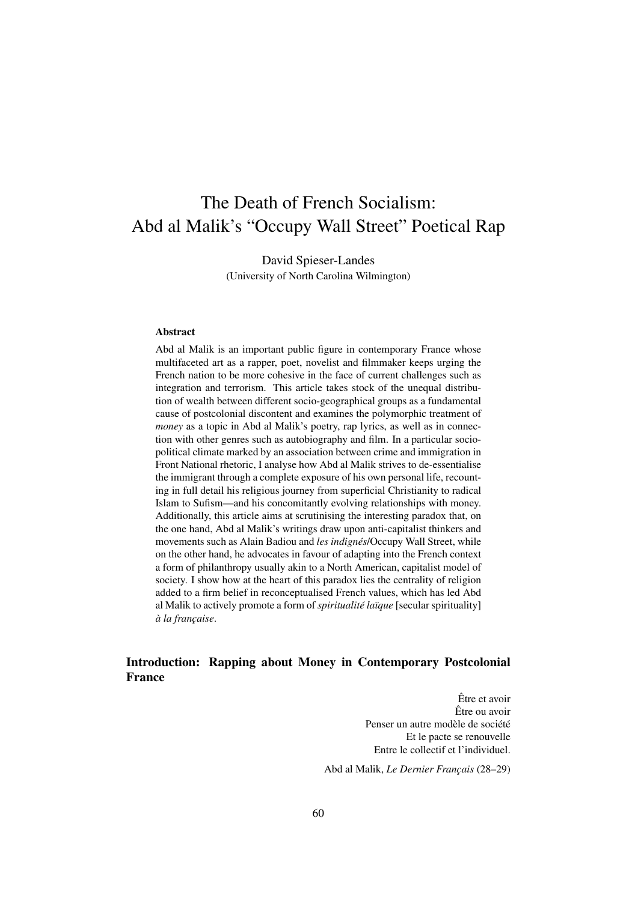# The Death of French Socialism: Abd al Malik's "Occupy Wall Street" Poetical Rap

David Spieser-Landes (University of North Carolina Wilmington)

#### Abstract

Abd al Malik is an important public figure in contemporary France whose multifaceted art as a rapper, poet, novelist and filmmaker keeps urging the French nation to be more cohesive in the face of current challenges such as integration and terrorism. This article takes stock of the unequal distribution of wealth between different socio-geographical groups as a fundamental cause of postcolonial discontent and examines the polymorphic treatment of *money* as a topic in Abd al Malik's poetry, rap lyrics, as well as in connection with other genres such as autobiography and film. In a particular sociopolitical climate marked by an association between crime and immigration in Front National rhetoric, I analyse how Abd al Malik strives to de-essentialise the immigrant through a complete exposure of his own personal life, recounting in full detail his religious journey from superficial Christianity to radical Islam to Sufism—and his concomitantly evolving relationships with money. Additionally, this article aims at scrutinising the interesting paradox that, on the one hand, Abd al Malik's writings draw upon anti-capitalist thinkers and movements such as Alain Badiou and *les indignés*/Occupy Wall Street, while on the other hand, he advocates in favour of adapting into the French context a form of philanthropy usually akin to a North American, capitalist model of society. I show how at the heart of this paradox lies the centrality of religion added to a firm belief in reconceptualised French values, which has led Abd al Malik to actively promote a form of *spiritualité laïque* [secular spirituality] *à la française*.

## Introduction: Rapping about Money in Contemporary Postcolonial France

Être et avoir Être ou avoir Penser un autre modèle de société Et le pacte se renouvelle Entre le collectif et l'individuel.

Abd al Malik, *Le Dernier Français* (28–29)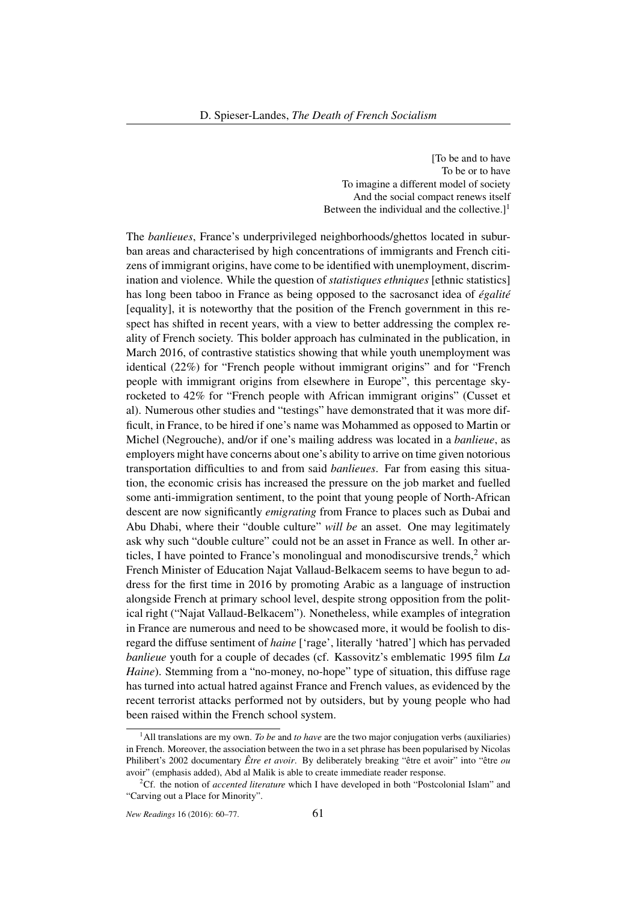[To be and to have To be or to have To imagine a different model of society And the social compact renews itself Between the individual and the collective.]<sup>1</sup>

The *banlieues*, France's underprivileged neighborhoods/ghettos located in suburban areas and characterised by high concentrations of immigrants and French citizens of immigrant origins, have come to be identified with unemployment, discrimination and violence. While the question of *statistiques ethniques* [ethnic statistics] has long been taboo in France as being opposed to the sacrosanct idea of *égalité* [equality], it is noteworthy that the position of the French government in this respect has shifted in recent years, with a view to better addressing the complex reality of French society. This bolder approach has culminated in the publication, in March 2016, of contrastive statistics showing that while youth unemployment was identical (22%) for "French people without immigrant origins" and for "French people with immigrant origins from elsewhere in Europe", this percentage skyrocketed to 42% for "French people with African immigrant origins" (Cusset et al). Numerous other studies and "testings" have demonstrated that it was more difficult, in France, to be hired if one's name was Mohammed as opposed to Martin or Michel (Negrouche), and/or if one's mailing address was located in a *banlieue*, as employers might have concerns about one's ability to arrive on time given notorious transportation difficulties to and from said *banlieues*. Far from easing this situation, the economic crisis has increased the pressure on the job market and fuelled some anti-immigration sentiment, to the point that young people of North-African descent are now significantly *emigrating* from France to places such as Dubai and Abu Dhabi, where their "double culture" *will be* an asset. One may legitimately ask why such "double culture" could not be an asset in France as well. In other articles, I have pointed to France's monolingual and monodiscursive trends, $2$  which French Minister of Education Najat Vallaud-Belkacem seems to have begun to address for the first time in 2016 by promoting Arabic as a language of instruction alongside French at primary school level, despite strong opposition from the political right ("Najat Vallaud-Belkacem"). Nonetheless, while examples of integration in France are numerous and need to be showcased more, it would be foolish to disregard the diffuse sentiment of *haine* ['rage', literally 'hatred'] which has pervaded *banlieue* youth for a couple of decades (cf. Kassovitz's emblematic 1995 film *La Haine*). Stemming from a "no-money, no-hope" type of situation, this diffuse rage has turned into actual hatred against France and French values, as evidenced by the recent terrorist attacks performed not by outsiders, but by young people who had been raised within the French school system.

<sup>&</sup>lt;sup>1</sup>All translations are my own. *To be* and *to have* are the two major conjugation verbs (auxiliaries) in French. Moreover, the association between the two in a set phrase has been popularised by Nicolas Philibert's 2002 documentary *Être et avoir*. By deliberately breaking "être et avoir" into "être *ou* avoir" (emphasis added), Abd al Malik is able to create immediate reader response.

<sup>2</sup>Cf. the notion of *accented literature* which I have developed in both "Postcolonial Islam" and "Carving out a Place for Minority".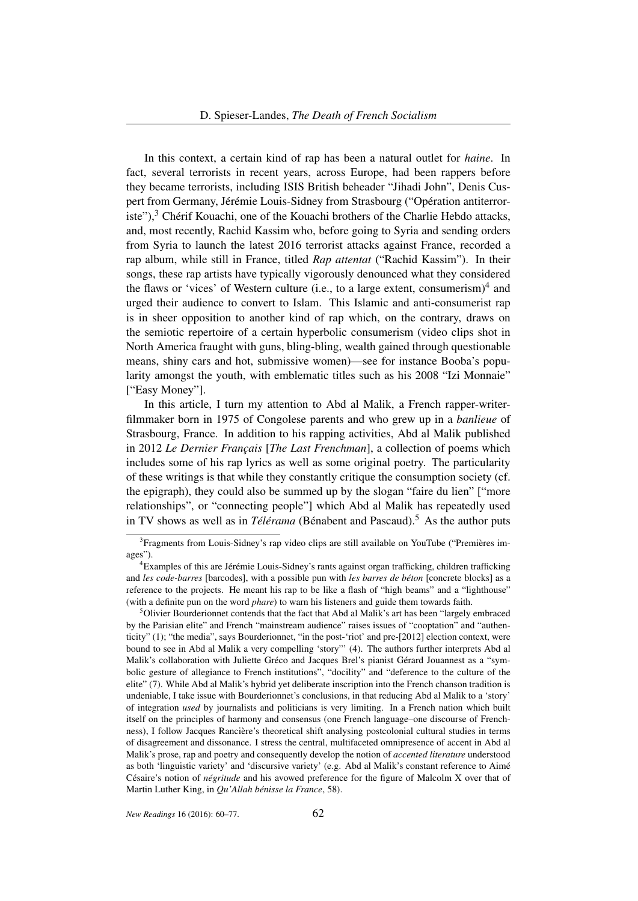In this context, a certain kind of rap has been a natural outlet for *haine*. In fact, several terrorists in recent years, across Europe, had been rappers before they became terrorists, including ISIS British beheader "Jihadi John", Denis Cuspert from Germany, Jérémie Louis-Sidney from Strasbourg ("Opération antiterroriste"), $3$  Chérif Kouachi, one of the Kouachi brothers of the Charlie Hebdo attacks, and, most recently, Rachid Kassim who, before going to Syria and sending orders from Syria to launch the latest 2016 terrorist attacks against France, recorded a rap album, while still in France, titled *Rap attentat* ("Rachid Kassim"). In their songs, these rap artists have typically vigorously denounced what they considered the flaws or 'vices' of Western culture (i.e., to a large extent, consumerism)<sup>4</sup> and urged their audience to convert to Islam. This Islamic and anti-consumerist rap is in sheer opposition to another kind of rap which, on the contrary, draws on the semiotic repertoire of a certain hyperbolic consumerism (video clips shot in North America fraught with guns, bling-bling, wealth gained through questionable means, shiny cars and hot, submissive women)—see for instance Booba's popularity amongst the youth, with emblematic titles such as his 2008 "Izi Monnaie" ["Easy Money"].

In this article, I turn my attention to Abd al Malik, a French rapper-writerfilmmaker born in 1975 of Congolese parents and who grew up in a *banlieue* of Strasbourg, France. In addition to his rapping activities, Abd al Malik published in 2012 *Le Dernier Français* [*The Last Frenchman*], a collection of poems which includes some of his rap lyrics as well as some original poetry. The particularity of these writings is that while they constantly critique the consumption society (cf. the epigraph), they could also be summed up by the slogan "faire du lien" ["more relationships", or "connecting people"] which Abd al Malik has repeatedly used in TV shows as well as in *Télérama* (Bénabent and Pascaud).<sup>5</sup> As the author puts

<sup>&</sup>lt;sup>3</sup> Fragments from Louis-Sidney's rap video clips are still available on YouTube ("Premières images").

<sup>4</sup>Examples of this are Jérémie Louis-Sidney's rants against organ trafficking, children trafficking and *les code-barres* [barcodes], with a possible pun with *les barres de béton* [concrete blocks] as a reference to the projects. He meant his rap to be like a flash of "high beams" and a "lighthouse" (with a definite pun on the word *phare*) to warn his listeners and guide them towards faith.

<sup>&</sup>lt;sup>5</sup>Olivier Bourderionnet contends that the fact that Abd al Malik's art has been "largely embraced" by the Parisian elite" and French "mainstream audience" raises issues of "cooptation" and "authenticity" (1); "the media", says Bourderionnet, "in the post-'riot' and pre-[2012] election context, were bound to see in Abd al Malik a very compelling 'story"' (4). The authors further interprets Abd al Malik's collaboration with Juliette Gréco and Jacques Brel's pianist Gérard Jouannest as a "symbolic gesture of allegiance to French institutions", "docility" and "deference to the culture of the elite" (7). While Abd al Malik's hybrid yet deliberate inscription into the French chanson tradition is undeniable, I take issue with Bourderionnet's conclusions, in that reducing Abd al Malik to a 'story' of integration *used* by journalists and politicians is very limiting. In a French nation which built itself on the principles of harmony and consensus (one French language–one discourse of Frenchness), I follow Jacques Rancière's theoretical shift analysing postcolonial cultural studies in terms of disagreement and dissonance. I stress the central, multifaceted omnipresence of accent in Abd al Malik's prose, rap and poetry and consequently develop the notion of *accented literature* understood as both 'linguistic variety' and 'discursive variety' (e.g. Abd al Malik's constant reference to Aimé Césaire's notion of *négritude* and his avowed preference for the figure of Malcolm X over that of Martin Luther King, in *Qu'Allah bénisse la France*, 58).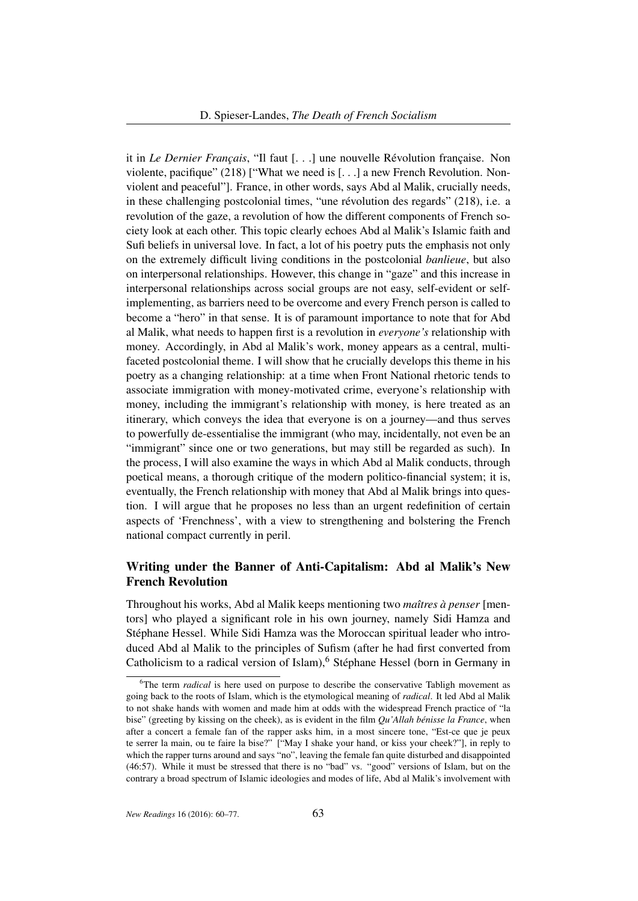it in *Le Dernier Français*, "Il faut [. . .] une nouvelle Révolution française. Non violente, pacifique" (218) ["What we need is [. . .] a new French Revolution. Nonviolent and peaceful"]. France, in other words, says Abd al Malik, crucially needs, in these challenging postcolonial times, "une révolution des regards" (218), i.e. a revolution of the gaze, a revolution of how the different components of French society look at each other. This topic clearly echoes Abd al Malik's Islamic faith and Sufi beliefs in universal love. In fact, a lot of his poetry puts the emphasis not only on the extremely difficult living conditions in the postcolonial *banlieue*, but also on interpersonal relationships. However, this change in "gaze" and this increase in interpersonal relationships across social groups are not easy, self-evident or selfimplementing, as barriers need to be overcome and every French person is called to become a "hero" in that sense. It is of paramount importance to note that for Abd al Malik, what needs to happen first is a revolution in *everyone's* relationship with money. Accordingly, in Abd al Malik's work, money appears as a central, multifaceted postcolonial theme. I will show that he crucially develops this theme in his poetry as a changing relationship: at a time when Front National rhetoric tends to associate immigration with money-motivated crime, everyone's relationship with money, including the immigrant's relationship with money, is here treated as an itinerary, which conveys the idea that everyone is on a journey—and thus serves to powerfully de-essentialise the immigrant (who may, incidentally, not even be an "immigrant" since one or two generations, but may still be regarded as such). In the process, I will also examine the ways in which Abd al Malik conducts, through poetical means, a thorough critique of the modern politico-financial system; it is, eventually, the French relationship with money that Abd al Malik brings into question. I will argue that he proposes no less than an urgent redefinition of certain aspects of 'Frenchness', with a view to strengthening and bolstering the French national compact currently in peril.

# Writing under the Banner of Anti-Capitalism: Abd al Malik's New French Revolution

Throughout his works, Abd al Malik keeps mentioning two *maîtres à penser* [mentors] who played a significant role in his own journey, namely Sidi Hamza and Stéphane Hessel. While Sidi Hamza was the Moroccan spiritual leader who introduced Abd al Malik to the principles of Sufism (after he had first converted from Catholicism to a radical version of Islam), <sup>6</sup> Stéphane Hessel (born in Germany in

<sup>&</sup>lt;sup>6</sup>The term *radical* is here used on purpose to describe the conservative Tabligh movement as going back to the roots of Islam, which is the etymological meaning of *radical*. It led Abd al Malik to not shake hands with women and made him at odds with the widespread French practice of "la bise" (greeting by kissing on the cheek), as is evident in the film *Qu'Allah bénisse la France*, when after a concert a female fan of the rapper asks him, in a most sincere tone, "Est-ce que je peux te serrer la main, ou te faire la bise?" ["May I shake your hand, or kiss your cheek?"], in reply to which the rapper turns around and says "no", leaving the female fan quite disturbed and disappointed (46:57). While it must be stressed that there is no "bad" vs. "good" versions of Islam, but on the contrary a broad spectrum of Islamic ideologies and modes of life, Abd al Malik's involvement with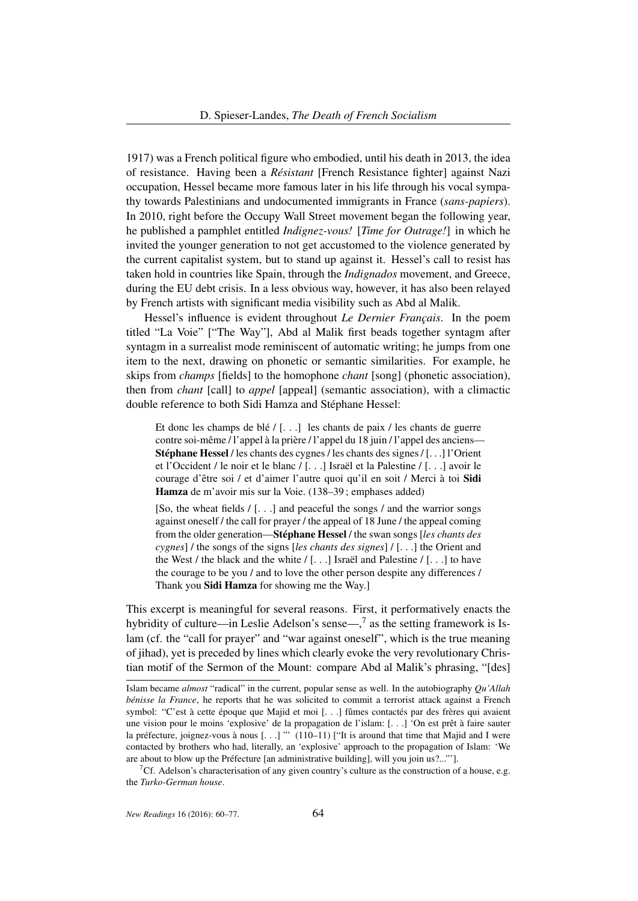1917) was a French political figure who embodied, until his death in 2013, the idea of resistance. Having been a *Résistant* [French Resistance fighter] against Nazi occupation, Hessel became more famous later in his life through his vocal sympathy towards Palestinians and undocumented immigrants in France (*sans-papiers*). In 2010, right before the Occupy Wall Street movement began the following year, he published a pamphlet entitled *Indignez-vous!* [*Time for Outrage!*] in which he invited the younger generation to not get accustomed to the violence generated by the current capitalist system, but to stand up against it. Hessel's call to resist has taken hold in countries like Spain, through the *Indignados* movement, and Greece, during the EU debt crisis. In a less obvious way, however, it has also been relayed by French artists with significant media visibility such as Abd al Malik.

Hessel's influence is evident throughout *Le Dernier Français*. In the poem titled "La Voie" ["The Way"], Abd al Malik first beads together syntagm after syntagm in a surrealist mode reminiscent of automatic writing; he jumps from one item to the next, drawing on phonetic or semantic similarities. For example, he skips from *champs* [fields] to the homophone *chant* [song] (phonetic association), then from *chant* [call] to *appel* [appeal] (semantic association), with a climactic double reference to both Sidi Hamza and Stéphane Hessel:

Et donc les champs de blé / [. . .] les chants de paix / les chants de guerre contre soi-même / l'appel à la prière / l'appel du 18 juin / l'appel des anciens— Stéphane Hessel / les chants des cygnes / les chants des signes / [. . .] l'Orient et l'Occident / le noir et le blanc / [. . .] Israël et la Palestine / [. . .] avoir le courage d'être soi / et d'aimer l'autre quoi qu'il en soit / Merci à toi Sidi Hamza de m'avoir mis sur la Voie. (138–39 ; emphases added)

[So, the wheat fields  $/$  [ $\dots$ ] and peaceful the songs  $/$  and the warrior songs against oneself / the call for prayer / the appeal of 18 June / the appeal coming from the older generation—Stéphane Hessel / the swan songs [*les chants des cygnes*] / the songs of the signs [*les chants des signes*] / [. . .] the Orient and the West / the black and the white  $/$  [...] Israël and Palestine  $/$  [...] to have the courage to be you / and to love the other person despite any differences / Thank you Sidi Hamza for showing me the Way.]

This excerpt is meaningful for several reasons. First, it performatively enacts the hybridity of culture—in Leslie Adelson's sense— $,^7$  as the setting framework is Islam (cf. the "call for prayer" and "war against oneself", which is the true meaning of jihad), yet is preceded by lines which clearly evoke the very revolutionary Christian motif of the Sermon of the Mount: compare Abd al Malik's phrasing, "[des]

Islam became *almost* "radical" in the current, popular sense as well. In the autobiography *Qu'Allah bénisse la France*, he reports that he was solicited to commit a terrorist attack against a French symbol: "C'est à cette époque que Majid et moi [. . .] fûmes contactés par des frères qui avaient une vision pour le moins 'explosive' de la propagation de l'islam: [. . .] 'On est prêt à faire sauter la préfecture, joignez-vous à nous  $[...]$  "'  $(110-11)$  ["It is around that time that Majid and I were contacted by brothers who had, literally, an 'explosive' approach to the propagation of Islam: 'We are about to blow up the Préfecture [an administrative building], will you join us?..."'].

<sup>&</sup>lt;sup>7</sup>Cf. Adelson's characterisation of any given country's culture as the construction of a house, e.g. the *Turko-German house*.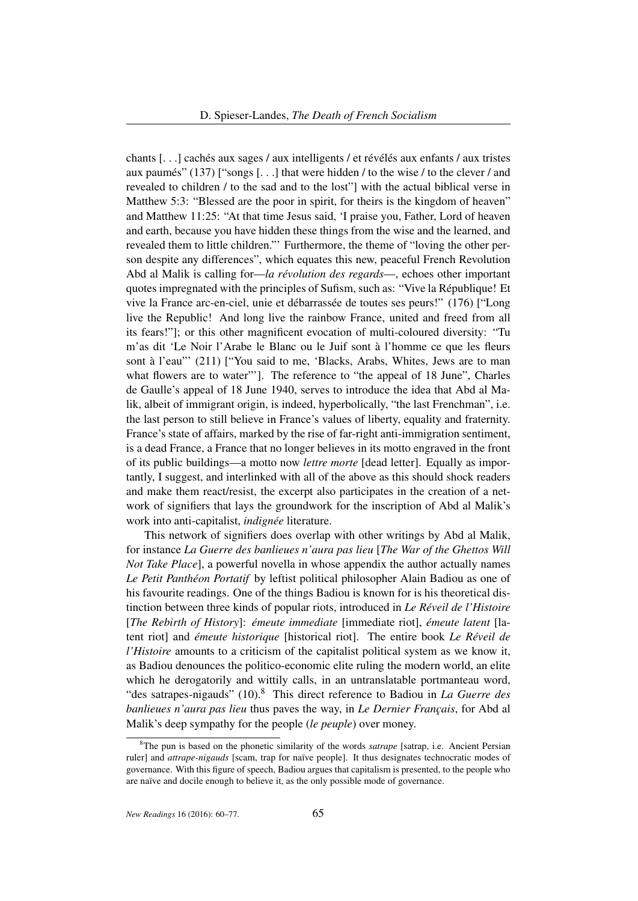chants [. . .] cachés aux sages / aux intelligents / et révélés aux enfants / aux tristes aux paumés" (137) ["songs [. . .] that were hidden / to the wise / to the clever / and revealed to children / to the sad and to the lost"] with the actual biblical verse in Matthew 5:3: "Blessed are the poor in spirit, for theirs is the kingdom of heaven" and Matthew 11:25: "At that time Jesus said, 'I praise you, Father, Lord of heaven and earth, because you have hidden these things from the wise and the learned, and revealed them to little children."' Furthermore, the theme of "loving the other person despite any differences", which equates this new, peaceful French Revolution Abd al Malik is calling for—*la révolution des regards*—, echoes other important quotes impregnated with the principles of Sufism, such as: "Vive la République! Et vive la France arc-en-ciel, unie et débarrassée de toutes ses peurs!" (176) ["Long live the Republic! And long live the rainbow France, united and freed from all its fears!"]; or this other magnificent evocation of multi-coloured diversity: "Tu m'as dit 'Le Noir l'Arabe le Blanc ou le Juif sont à l'homme ce que les fleurs sont à l'eau"' (211) ["You said to me, 'Blacks, Arabs, Whites, Jews are to man what flowers are to water"'. The reference to "the appeal of 18 June", Charles de Gaulle's appeal of 18 June 1940, serves to introduce the idea that Abd al Malik, albeit of immigrant origin, is indeed, hyperbolically, "the last Frenchman", i.e. the last person to still believe in France's values of liberty, equality and fraternity. France's state of affairs, marked by the rise of far-right anti-immigration sentiment, is a dead France, a France that no longer believes in its motto engraved in the front of its public buildings—a motto now *lettre morte* [dead letter]. Equally as importantly, I suggest, and interlinked with all of the above as this should shock readers and make them react/resist, the excerpt also participates in the creation of a network of signifiers that lays the groundwork for the inscription of Abd al Malik's work into anti-capitalist, *indignée* literature.

This network of signifiers does overlap with other writings by Abd al Malik, for instance *La Guerre des banlieues n'aura pas lieu* [*The War of the Ghettos Will Not Take Place*], a powerful novella in whose appendix the author actually names *Le Petit Panthéon Portatif* by leftist political philosopher Alain Badiou as one of his favourite readings. One of the things Badiou is known for is his theoretical distinction between three kinds of popular riots, introduced in *Le Réveil de l'Histoire* [*The Rebirth of History*]: *émeute immediate* [immediate riot], *émeute latent* [latent riot] and *émeute historique* [historical riot]. The entire book *Le Réveil de l'Histoire* amounts to a criticism of the capitalist political system as we know it, as Badiou denounces the politico-economic elite ruling the modern world, an elite which he derogatorily and wittily calls, in an untranslatable portmanteau word, "des satrapes-nigauds" (10).<sup>8</sup> This direct reference to Badiou in *La Guerre des banlieues n'aura pas lieu* thus paves the way, in *Le Dernier Français*, for Abd al Malik's deep sympathy for the people (*le peuple*) over money.

<sup>&</sup>lt;sup>8</sup>The pun is based on the phonetic similarity of the words *satrape* [satrap, i.e. Ancient Persian ruler] and *attrape-nigauds* [scam, trap for naïve people]. It thus designates technocratic modes of governance. With this figure of speech, Badiou argues that capitalism is presented, to the people who are naïve and docile enough to believe it, as the only possible mode of governance.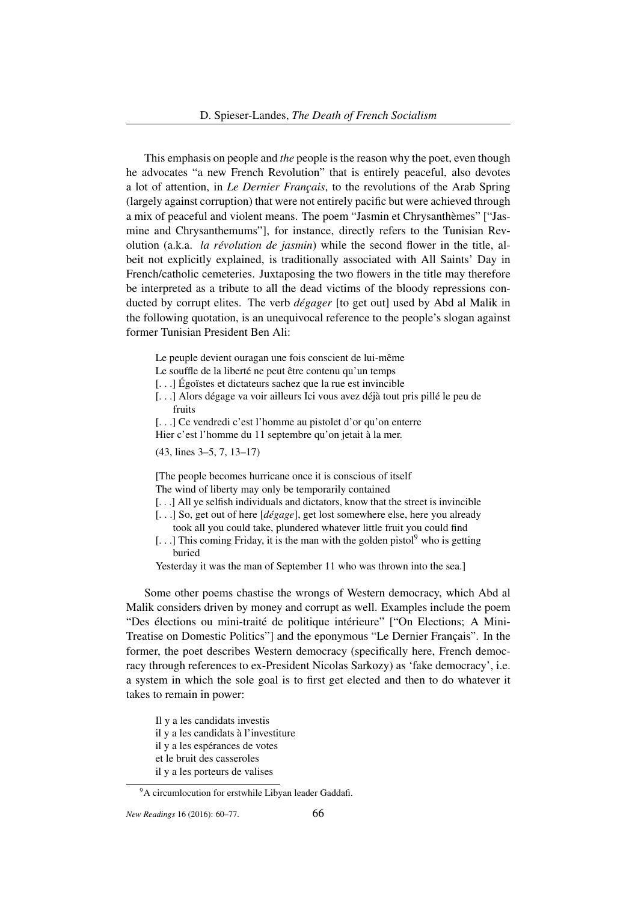This emphasis on people and *the* people is the reason why the poet, even though he advocates "a new French Revolution" that is entirely peaceful, also devotes a lot of attention, in *Le Dernier Français*, to the revolutions of the Arab Spring (largely against corruption) that were not entirely pacific but were achieved through a mix of peaceful and violent means. The poem "Jasmin et Chrysanthèmes" ["Jasmine and Chrysanthemums"], for instance, directly refers to the Tunisian Revolution (a.k.a. *la révolution de jasmin*) while the second flower in the title, albeit not explicitly explained, is traditionally associated with All Saints' Day in French/catholic cemeteries. Juxtaposing the two flowers in the title may therefore be interpreted as a tribute to all the dead victims of the bloody repressions conducted by corrupt elites. The verb *dégager* [to get out] used by Abd al Malik in the following quotation, is an unequivocal reference to the people's slogan against former Tunisian President Ben Ali:

- Le peuple devient ouragan une fois conscient de lui-même
- Le souffle de la liberté ne peut être contenu qu'un temps
- [. . .] Égoïstes et dictateurs sachez que la rue est invincible
- [. . .] Alors dégage va voir ailleurs Ici vous avez déjà tout pris pillé le peu de fruits
- [...] Ce vendredi c'est l'homme au pistolet d'or qu'on enterre
- Hier c'est l'homme du 11 septembre qu'on jetait à la mer.

(43, lines 3–5, 7, 13–17)

[The people becomes hurricane once it is conscious of itself The wind of liberty may only be temporarily contained

- [...] All ye selfish individuals and dictators, know that the street is invincible
- [. . .] So, get out of here [*dégage*], get lost somewhere else, here you already
- took all you could take, plundered whatever little fruit you could find
- [...] This coming Friday, it is the man with the golden pistol<sup>9</sup> who is getting buried

Yesterday it was the man of September 11 who was thrown into the sea.]

Some other poems chastise the wrongs of Western democracy, which Abd al Malik considers driven by money and corrupt as well. Examples include the poem "Des élections ou mini-traité de politique intérieure" ["On Elections; A Mini-Treatise on Domestic Politics"] and the eponymous "Le Dernier Français". In the former, the poet describes Western democracy (specifically here, French democracy through references to ex-President Nicolas Sarkozy) as 'fake democracy', i.e. a system in which the sole goal is to first get elected and then to do whatever it takes to remain in power:

- Il y a les candidats investis
- il y a les candidats à l'investiture
- il y a les espérances de votes
- et le bruit des casseroles
- il y a les porteurs de valises

<sup>&</sup>lt;sup>9</sup>A circumlocution for erstwhile Libyan leader Gaddafi.

*New Readings* 16 (2016): 60–77. 66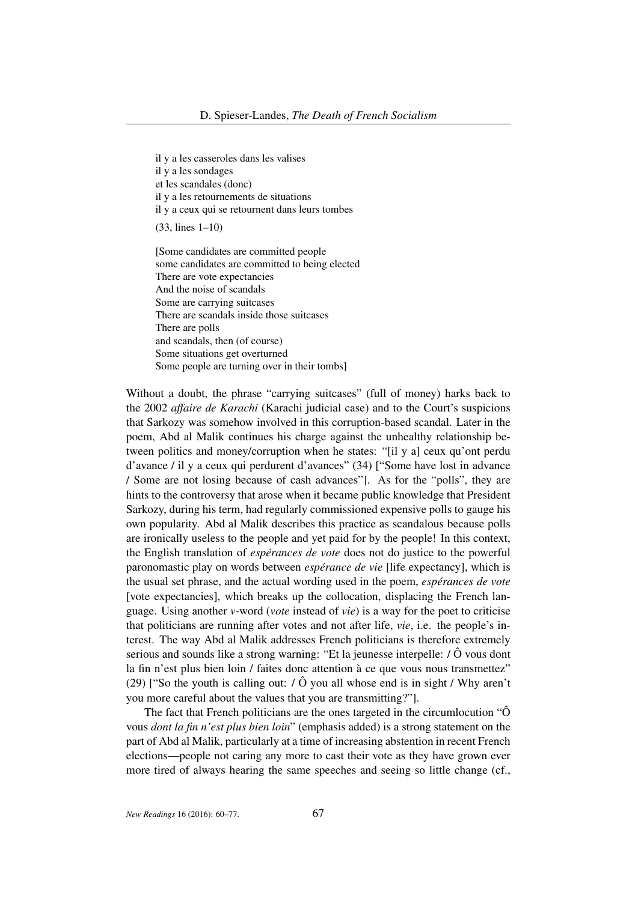il y a les casseroles dans les valises

il y a les sondages

et les scandales (donc)

il y a les retournements de situations

il y a ceux qui se retournent dans leurs tombes

(33, lines 1–10)

[Some candidates are committed people some candidates are committed to being elected There are vote expectancies And the noise of scandals Some are carrying suitcases There are scandals inside those suitcases There are polls and scandals, then (of course) Some situations get overturned Some people are turning over in their tombs]

Without a doubt, the phrase "carrying suitcases" (full of money) harks back to the 2002 *affaire de Karachi* (Karachi judicial case) and to the Court's suspicions that Sarkozy was somehow involved in this corruption-based scandal. Later in the poem, Abd al Malik continues his charge against the unhealthy relationship between politics and money/corruption when he states: "[il y a] ceux qu'ont perdu d'avance / il y a ceux qui perdurent d'avances" (34) ["Some have lost in advance / Some are not losing because of cash advances"]. As for the "polls", they are hints to the controversy that arose when it became public knowledge that President Sarkozy, during his term, had regularly commissioned expensive polls to gauge his own popularity. Abd al Malik describes this practice as scandalous because polls are ironically useless to the people and yet paid for by the people! In this context, the English translation of *espérances de vote* does not do justice to the powerful paronomastic play on words between *espérance de vie* [life expectancy], which is the usual set phrase, and the actual wording used in the poem, *espérances de vote* [vote expectancies], which breaks up the collocation, displacing the French language. Using another *v*-word (*vote* instead of *vie*) is a way for the poet to criticise that politicians are running after votes and not after life, *vie*, i.e. the people's interest. The way Abd al Malik addresses French politicians is therefore extremely serious and sounds like a strong warning: "Et la jeunesse interpelle: / Ô vous dont la fin n'est plus bien loin / faites donc attention à ce que vous nous transmettez" (29) ["So the youth is calling out:  $\hat{O}$  you all whose end is in sight / Why aren't you more careful about the values that you are transmitting?"].

The fact that French politicians are the ones targeted in the circumlocution "Ô vous *dont la fin n'est plus bien loin*" (emphasis added) is a strong statement on the part of Abd al Malik, particularly at a time of increasing abstention in recent French elections—people not caring any more to cast their vote as they have grown ever more tired of always hearing the same speeches and seeing so little change (cf.,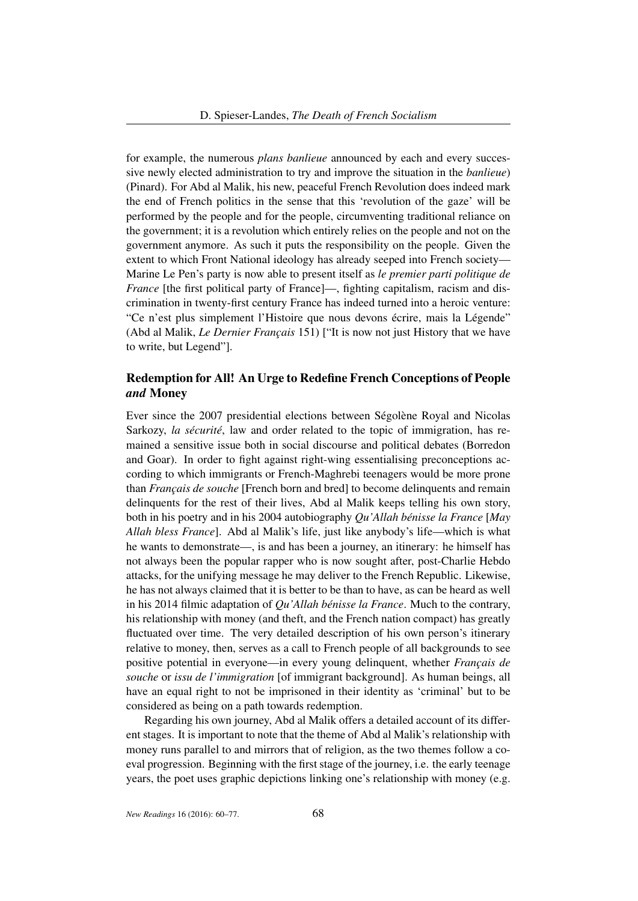for example, the numerous *plans banlieue* announced by each and every successive newly elected administration to try and improve the situation in the *banlieue*) (Pinard). For Abd al Malik, his new, peaceful French Revolution does indeed mark the end of French politics in the sense that this 'revolution of the gaze' will be performed by the people and for the people, circumventing traditional reliance on the government; it is a revolution which entirely relies on the people and not on the government anymore. As such it puts the responsibility on the people. Given the extent to which Front National ideology has already seeped into French society— Marine Le Pen's party is now able to present itself as *le premier parti politique de France* [the first political party of France]—, fighting capitalism, racism and discrimination in twenty-first century France has indeed turned into a heroic venture: "Ce n'est plus simplement l'Histoire que nous devons écrire, mais la Légende" (Abd al Malik, *Le Dernier Français* 151) ["It is now not just History that we have to write, but Legend"].

# Redemption for All! An Urge to Redefine French Conceptions of People *and* Money

Ever since the 2007 presidential elections between Ségolène Royal and Nicolas Sarkozy, *la sécurité*, law and order related to the topic of immigration, has remained a sensitive issue both in social discourse and political debates (Borredon and Goar). In order to fight against right-wing essentialising preconceptions according to which immigrants or French-Maghrebi teenagers would be more prone than *Français de souche* [French born and bred] to become delinquents and remain delinquents for the rest of their lives, Abd al Malik keeps telling his own story, both in his poetry and in his 2004 autobiography *Qu'Allah bénisse la France* [*May Allah bless France*]. Abd al Malik's life, just like anybody's life—which is what he wants to demonstrate—, is and has been a journey, an itinerary: he himself has not always been the popular rapper who is now sought after, post-Charlie Hebdo attacks, for the unifying message he may deliver to the French Republic. Likewise, he has not always claimed that it is better to be than to have, as can be heard as well in his 2014 filmic adaptation of *Qu'Allah bénisse la France*. Much to the contrary, his relationship with money (and theft, and the French nation compact) has greatly fluctuated over time. The very detailed description of his own person's itinerary relative to money, then, serves as a call to French people of all backgrounds to see positive potential in everyone—in every young delinquent, whether *Français de souche* or *issu de l'immigration* [of immigrant background]. As human beings, all have an equal right to not be imprisoned in their identity as 'criminal' but to be considered as being on a path towards redemption.

Regarding his own journey, Abd al Malik offers a detailed account of its different stages. It is important to note that the theme of Abd al Malik's relationship with money runs parallel to and mirrors that of religion, as the two themes follow a coeval progression. Beginning with the first stage of the journey, i.e. the early teenage years, the poet uses graphic depictions linking one's relationship with money (e.g.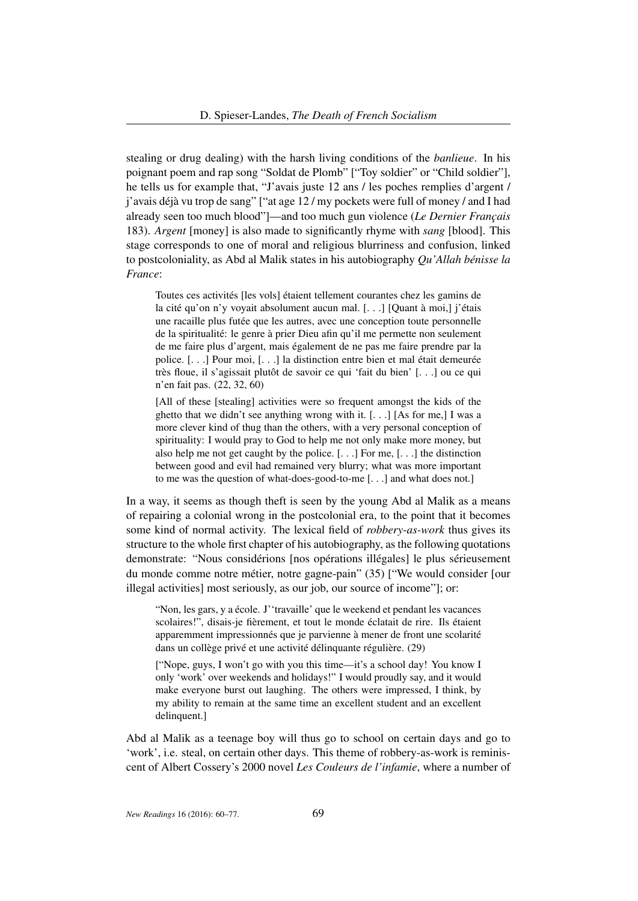stealing or drug dealing) with the harsh living conditions of the *banlieue*. In his poignant poem and rap song "Soldat de Plomb" ["Toy soldier" or "Child soldier"], he tells us for example that, "J'avais juste 12 ans / les poches remplies d'argent / j'avais déjà vu trop de sang" ["at age 12 / my pockets were full of money / and I had already seen too much blood"]—and too much gun violence (*Le Dernier Français* 183). *Argent* [money] is also made to significantly rhyme with *sang* [blood]. This stage corresponds to one of moral and religious blurriness and confusion, linked to postcoloniality, as Abd al Malik states in his autobiography *Qu'Allah bénisse la France*:

Toutes ces activités [les vols] étaient tellement courantes chez les gamins de la cité qu'on n'y voyait absolument aucun mal. [...] [Quant à moi,] j'étais une racaille plus futée que les autres, avec une conception toute personnelle de la spiritualité: le genre à prier Dieu afin qu'il me permette non seulement de me faire plus d'argent, mais également de ne pas me faire prendre par la police. [. . .] Pour moi, [. . .] la distinction entre bien et mal était demeurée très floue, il s'agissait plutôt de savoir ce qui 'fait du bien' [. . .] ou ce qui n'en fait pas. (22, 32, 60)

[All of these [stealing] activities were so frequent amongst the kids of the ghetto that we didn't see anything wrong with it. [. . .] [As for me,] I was a more clever kind of thug than the others, with a very personal conception of spirituality: I would pray to God to help me not only make more money, but also help me not get caught by the police. [. . .] For me, [. . .] the distinction between good and evil had remained very blurry; what was more important to me was the question of what-does-good-to-me [. . .] and what does not.]

In a way, it seems as though theft is seen by the young Abd al Malik as a means of repairing a colonial wrong in the postcolonial era, to the point that it becomes some kind of normal activity. The lexical field of *robbery-as-work* thus gives its structure to the whole first chapter of his autobiography, as the following quotations demonstrate: "Nous considérions [nos opérations illégales] le plus sérieusement du monde comme notre métier, notre gagne-pain" (35) ["We would consider [our illegal activities] most seriously, as our job, our source of income"]; or:

"Non, les gars, y a école. J''travaille' que le weekend et pendant les vacances scolaires!", disais-je fièrement, et tout le monde éclatait de rire. Ils étaient apparemment impressionnés que je parvienne à mener de front une scolarité dans un collège privé et une activité délinquante régulière. (29)

["Nope, guys, I won't go with you this time—it's a school day! You know I only 'work' over weekends and holidays!" I would proudly say, and it would make everyone burst out laughing. The others were impressed, I think, by my ability to remain at the same time an excellent student and an excellent delinquent.]

Abd al Malik as a teenage boy will thus go to school on certain days and go to 'work', i.e. steal, on certain other days. This theme of robbery-as-work is reminiscent of Albert Cossery's 2000 novel *Les Couleurs de l'infamie*, where a number of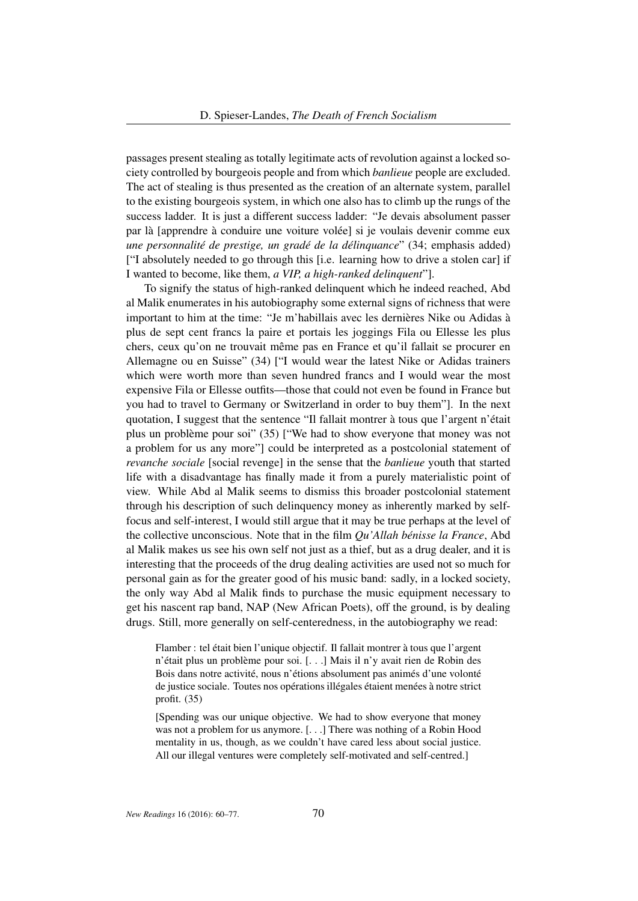passages present stealing as totally legitimate acts of revolution against a locked society controlled by bourgeois people and from which *banlieue* people are excluded. The act of stealing is thus presented as the creation of an alternate system, parallel to the existing bourgeois system, in which one also has to climb up the rungs of the success ladder. It is just a different success ladder: "Je devais absolument passer par là [apprendre à conduire une voiture volée] si je voulais devenir comme eux *une personnalité de prestige, un gradé de la délinquance*" (34; emphasis added) ["I absolutely needed to go through this [i.e. learning how to drive a stolen car] if I wanted to become, like them, *a VIP, a high-ranked delinquent*"].

To signify the status of high-ranked delinquent which he indeed reached, Abd al Malik enumerates in his autobiography some external signs of richness that were important to him at the time: "Je m'habillais avec les dernières Nike ou Adidas à plus de sept cent francs la paire et portais les joggings Fila ou Ellesse les plus chers, ceux qu'on ne trouvait même pas en France et qu'il fallait se procurer en Allemagne ou en Suisse" (34) ["I would wear the latest Nike or Adidas trainers which were worth more than seven hundred francs and I would wear the most expensive Fila or Ellesse outfits—those that could not even be found in France but you had to travel to Germany or Switzerland in order to buy them"]. In the next quotation, I suggest that the sentence "Il fallait montrer à tous que l'argent n'était plus un problème pour soi" (35) ["We had to show everyone that money was not a problem for us any more"] could be interpreted as a postcolonial statement of *revanche sociale* [social revenge] in the sense that the *banlieue* youth that started life with a disadvantage has finally made it from a purely materialistic point of view. While Abd al Malik seems to dismiss this broader postcolonial statement through his description of such delinquency money as inherently marked by selffocus and self-interest, I would still argue that it may be true perhaps at the level of the collective unconscious. Note that in the film *Qu'Allah bénisse la France*, Abd al Malik makes us see his own self not just as a thief, but as a drug dealer, and it is interesting that the proceeds of the drug dealing activities are used not so much for personal gain as for the greater good of his music band: sadly, in a locked society, the only way Abd al Malik finds to purchase the music equipment necessary to get his nascent rap band, NAP (New African Poets), off the ground, is by dealing drugs. Still, more generally on self-centeredness, in the autobiography we read:

Flamber : tel était bien l'unique objectif. Il fallait montrer à tous que l'argent n'était plus un problème pour soi. [. . .] Mais il n'y avait rien de Robin des Bois dans notre activité, nous n'étions absolument pas animés d'une volonté de justice sociale. Toutes nos opérations illégales étaient menées à notre strict profit. (35)

[Spending was our unique objective. We had to show everyone that money was not a problem for us anymore. [. . .] There was nothing of a Robin Hood mentality in us, though, as we couldn't have cared less about social justice. All our illegal ventures were completely self-motivated and self-centred.]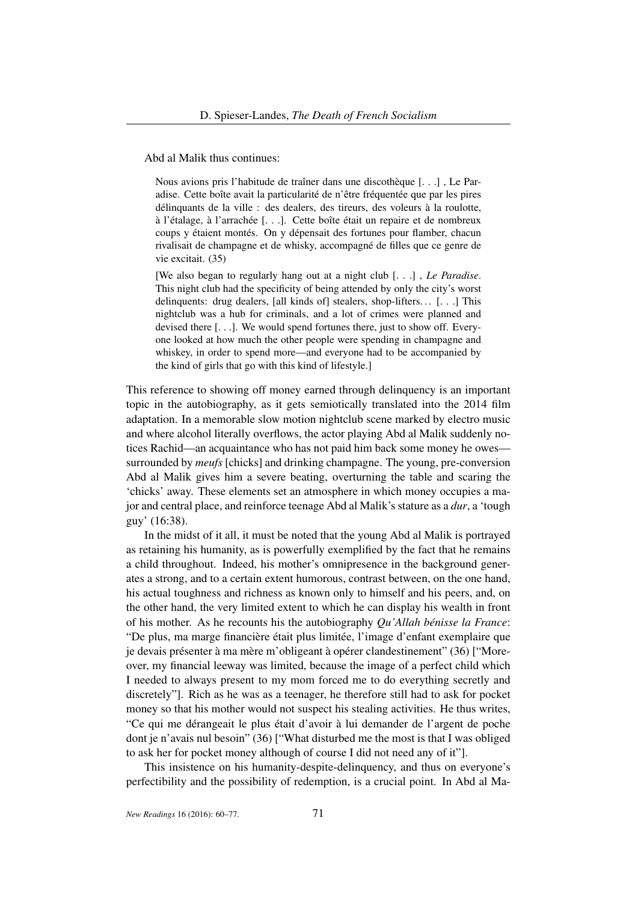Abd al Malik thus continues:

Nous avions pris l'habitude de traîner dans une discothèque [. . .] , Le Paradise. Cette boîte avait la particularité de n'être fréquentée que par les pires délinquants de la ville : des dealers, des tireurs, des voleurs à la roulotte, à l'étalage, à l'arrachée [. . .]. Cette boîte était un repaire et de nombreux coups y étaient montés. On y dépensait des fortunes pour flamber, chacun rivalisait de champagne et de whisky, accompagné de filles que ce genre de vie excitait. (35)

[We also began to regularly hang out at a night club [. . .] , *Le Paradise*. This night club had the specificity of being attended by only the city's worst delinquents: drug dealers, [all kinds of] stealers, shop-lifters...  $[...]$  This nightclub was a hub for criminals, and a lot of crimes were planned and devised there [. . .]. We would spend fortunes there, just to show off. Everyone looked at how much the other people were spending in champagne and whiskey, in order to spend more—and everyone had to be accompanied by the kind of girls that go with this kind of lifestyle.]

This reference to showing off money earned through delinquency is an important topic in the autobiography, as it gets semiotically translated into the 2014 film adaptation. In a memorable slow motion nightclub scene marked by electro music and where alcohol literally overflows, the actor playing Abd al Malik suddenly notices Rachid—an acquaintance who has not paid him back some money he owes surrounded by *meufs* [chicks] and drinking champagne. The young, pre-conversion Abd al Malik gives him a severe beating, overturning the table and scaring the 'chicks' away. These elements set an atmosphere in which money occupies a major and central place, and reinforce teenage Abd al Malik's stature as a *dur*, a 'tough guy' (16:38).

In the midst of it all, it must be noted that the young Abd al Malik is portrayed as retaining his humanity, as is powerfully exemplified by the fact that he remains a child throughout. Indeed, his mother's omnipresence in the background generates a strong, and to a certain extent humorous, contrast between, on the one hand, his actual toughness and richness as known only to himself and his peers, and, on the other hand, the very limited extent to which he can display his wealth in front of his mother. As he recounts his the autobiography *Qu'Allah bénisse la France*: "De plus, ma marge financière était plus limitée, l'image d'enfant exemplaire que je devais présenter à ma mère m'obligeant à opérer clandestinement" (36) ["Moreover, my financial leeway was limited, because the image of a perfect child which I needed to always present to my mom forced me to do everything secretly and discretely"]. Rich as he was as a teenager, he therefore still had to ask for pocket money so that his mother would not suspect his stealing activities. He thus writes, "Ce qui me dérangeait le plus était d'avoir à lui demander de l'argent de poche dont je n'avais nul besoin" (36) ["What disturbed me the most is that I was obliged to ask her for pocket money although of course I did not need any of it"].

This insistence on his humanity-despite-delinquency, and thus on everyone's perfectibility and the possibility of redemption, is a crucial point. In Abd al Ma-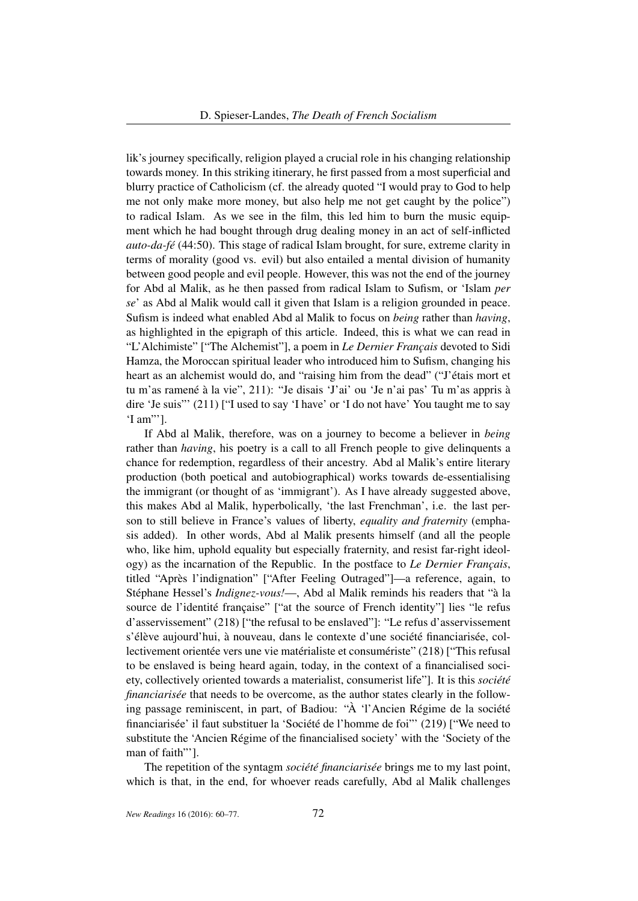lik's journey specifically, religion played a crucial role in his changing relationship towards money. In this striking itinerary, he first passed from a most superficial and blurry practice of Catholicism (cf. the already quoted "I would pray to God to help me not only make more money, but also help me not get caught by the police") to radical Islam. As we see in the film, this led him to burn the music equipment which he had bought through drug dealing money in an act of self-inflicted *auto-da-fé* (44:50). This stage of radical Islam brought, for sure, extreme clarity in terms of morality (good vs. evil) but also entailed a mental division of humanity between good people and evil people. However, this was not the end of the journey for Abd al Malik, as he then passed from radical Islam to Sufism, or 'Islam *per se*' as Abd al Malik would call it given that Islam is a religion grounded in peace. Sufism is indeed what enabled Abd al Malik to focus on *being* rather than *having*, as highlighted in the epigraph of this article. Indeed, this is what we can read in "L'Alchimiste" ["The Alchemist"], a poem in *Le Dernier Français* devoted to Sidi Hamza, the Moroccan spiritual leader who introduced him to Sufism, changing his heart as an alchemist would do, and "raising him from the dead" ("J'étais mort et tu m'as ramené à la vie", 211): "Je disais 'J'ai' ou 'Je n'ai pas' Tu m'as appris à dire 'Je suis"' (211) ["I used to say 'I have' or 'I do not have' You taught me to say 'I am"'].

If Abd al Malik, therefore, was on a journey to become a believer in *being* rather than *having*, his poetry is a call to all French people to give delinquents a chance for redemption, regardless of their ancestry. Abd al Malik's entire literary production (both poetical and autobiographical) works towards de-essentialising the immigrant (or thought of as 'immigrant'). As I have already suggested above, this makes Abd al Malik, hyperbolically, 'the last Frenchman', i.e. the last person to still believe in France's values of liberty, *equality and fraternity* (emphasis added). In other words, Abd al Malik presents himself (and all the people who, like him, uphold equality but especially fraternity, and resist far-right ideology) as the incarnation of the Republic. In the postface to *Le Dernier Français*, titled "Après l'indignation" ["After Feeling Outraged"]—a reference, again, to Stéphane Hessel's *Indignez-vous!*—, Abd al Malik reminds his readers that "à la source de l'identité française" ["at the source of French identity"] lies "le refus d'asservissement" (218) ["the refusal to be enslaved"]: "Le refus d'asservissement s'élève aujourd'hui, à nouveau, dans le contexte d'une société financiarisée, collectivement orientée vers une vie matérialiste et consumériste" (218) ["This refusal to be enslaved is being heard again, today, in the context of a financialised society, collectively oriented towards a materialist, consumerist life"]. It is this *société financiarisée* that needs to be overcome, as the author states clearly in the following passage reminiscent, in part, of Badiou: "À 'l'Ancien Régime de la société financiarisée' il faut substituer la 'Société de l'homme de foi"' (219) ["We need to substitute the 'Ancien Régime of the financialised society' with the 'Society of the man of faith"'].

The repetition of the syntagm *société financiarisée* brings me to my last point, which is that, in the end, for whoever reads carefully, Abd al Malik challenges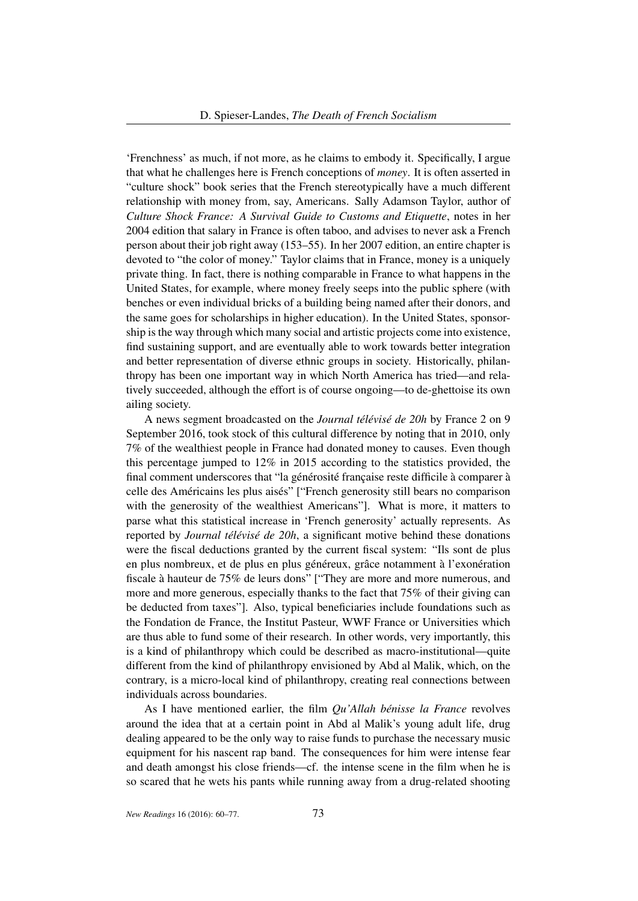'Frenchness' as much, if not more, as he claims to embody it. Specifically, I argue that what he challenges here is French conceptions of *money*. It is often asserted in "culture shock" book series that the French stereotypically have a much different relationship with money from, say, Americans. Sally Adamson Taylor, author of *Culture Shock France: A Survival Guide to Customs and Etiquette*, notes in her 2004 edition that salary in France is often taboo, and advises to never ask a French person about their job right away (153–55). In her 2007 edition, an entire chapter is devoted to "the color of money." Taylor claims that in France, money is a uniquely private thing. In fact, there is nothing comparable in France to what happens in the United States, for example, where money freely seeps into the public sphere (with benches or even individual bricks of a building being named after their donors, and the same goes for scholarships in higher education). In the United States, sponsorship is the way through which many social and artistic projects come into existence, find sustaining support, and are eventually able to work towards better integration and better representation of diverse ethnic groups in society. Historically, philanthropy has been one important way in which North America has tried—and relatively succeeded, although the effort is of course ongoing—to de-ghettoise its own ailing society.

A news segment broadcasted on the *Journal télévisé de 20h* by France 2 on 9 September 2016, took stock of this cultural difference by noting that in 2010, only 7% of the wealthiest people in France had donated money to causes. Even though this percentage jumped to 12% in 2015 according to the statistics provided, the final comment underscores that "la générosité française reste difficile à comparer à celle des Américains les plus aisés" ["French generosity still bears no comparison with the generosity of the wealthiest Americans"]. What is more, it matters to parse what this statistical increase in 'French generosity' actually represents. As reported by *Journal télévisé de 20h*, a significant motive behind these donations were the fiscal deductions granted by the current fiscal system: "Ils sont de plus en plus nombreux, et de plus en plus généreux, grâce notamment à l'exonération fiscale à hauteur de 75% de leurs dons" ["They are more and more numerous, and more and more generous, especially thanks to the fact that 75% of their giving can be deducted from taxes"]. Also, typical beneficiaries include foundations such as the Fondation de France, the Institut Pasteur, WWF France or Universities which are thus able to fund some of their research. In other words, very importantly, this is a kind of philanthropy which could be described as macro-institutional—quite different from the kind of philanthropy envisioned by Abd al Malik, which, on the contrary, is a micro-local kind of philanthropy, creating real connections between individuals across boundaries.

As I have mentioned earlier, the film *Qu'Allah bénisse la France* revolves around the idea that at a certain point in Abd al Malik's young adult life, drug dealing appeared to be the only way to raise funds to purchase the necessary music equipment for his nascent rap band. The consequences for him were intense fear and death amongst his close friends—cf. the intense scene in the film when he is so scared that he wets his pants while running away from a drug-related shooting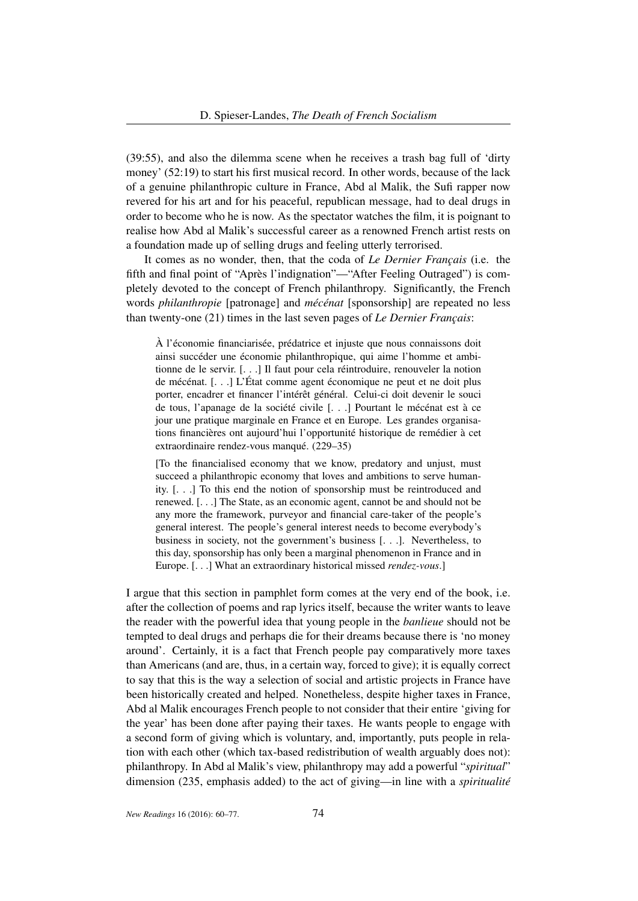(39:55), and also the dilemma scene when he receives a trash bag full of 'dirty money' (52:19) to start his first musical record. In other words, because of the lack of a genuine philanthropic culture in France, Abd al Malik, the Sufi rapper now revered for his art and for his peaceful, republican message, had to deal drugs in order to become who he is now. As the spectator watches the film, it is poignant to realise how Abd al Malik's successful career as a renowned French artist rests on a foundation made up of selling drugs and feeling utterly terrorised.

It comes as no wonder, then, that the coda of *Le Dernier Français* (i.e. the fifth and final point of "Après l'indignation"—"After Feeling Outraged") is completely devoted to the concept of French philanthropy. Significantly, the French words *philanthropie* [patronage] and *mécénat* [sponsorship] are repeated no less than twenty-one (21) times in the last seven pages of *Le Dernier Français*:

À l'économie financiarisée, prédatrice et injuste que nous connaissons doit ainsi succéder une économie philanthropique, qui aime l'homme et ambitionne de le servir. [. . .] Il faut pour cela réintroduire, renouveler la notion de mécénat. [. . .] L'État comme agent économique ne peut et ne doit plus porter, encadrer et financer l'intérêt général. Celui-ci doit devenir le souci de tous, l'apanage de la société civile [. . .] Pourtant le mécénat est à ce jour une pratique marginale en France et en Europe. Les grandes organisations financières ont aujourd'hui l'opportunité historique de remédier à cet extraordinaire rendez-vous manqué. (229–35)

[To the financialised economy that we know, predatory and unjust, must succeed a philanthropic economy that loves and ambitions to serve humanity. [. . .] To this end the notion of sponsorship must be reintroduced and renewed. [. . .] The State, as an economic agent, cannot be and should not be any more the framework, purveyor and financial care-taker of the people's general interest. The people's general interest needs to become everybody's business in society, not the government's business [. . .]. Nevertheless, to this day, sponsorship has only been a marginal phenomenon in France and in Europe. [. . .] What an extraordinary historical missed *rendez-vous*.]

I argue that this section in pamphlet form comes at the very end of the book, i.e. after the collection of poems and rap lyrics itself, because the writer wants to leave the reader with the powerful idea that young people in the *banlieue* should not be tempted to deal drugs and perhaps die for their dreams because there is 'no money around'. Certainly, it is a fact that French people pay comparatively more taxes than Americans (and are, thus, in a certain way, forced to give); it is equally correct to say that this is the way a selection of social and artistic projects in France have been historically created and helped. Nonetheless, despite higher taxes in France, Abd al Malik encourages French people to not consider that their entire 'giving for the year' has been done after paying their taxes. He wants people to engage with a second form of giving which is voluntary, and, importantly, puts people in relation with each other (which tax-based redistribution of wealth arguably does not): philanthropy. In Abd al Malik's view, philanthropy may add a powerful "*spiritual*" dimension (235, emphasis added) to the act of giving—in line with a *spiritualité*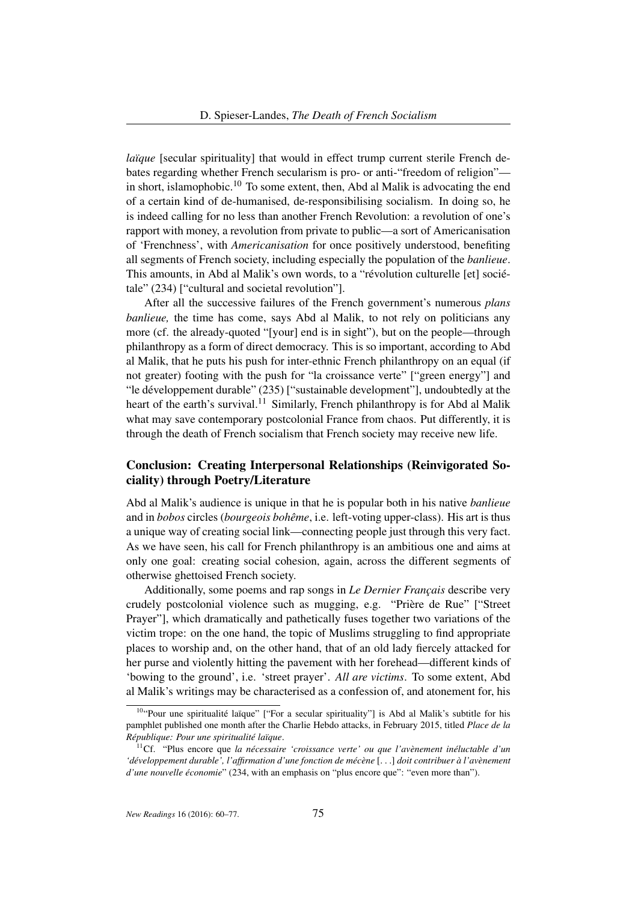*laïque* [secular spirituality] that would in effect trump current sterile French debates regarding whether French secularism is pro- or anti-"freedom of religion" in short, islamophobic.<sup>10</sup> To some extent, then, Abd al Malik is advocating the end of a certain kind of de-humanised, de-responsibilising socialism. In doing so, he is indeed calling for no less than another French Revolution: a revolution of one's rapport with money, a revolution from private to public—a sort of Americanisation of 'Frenchness', with *Americanisation* for once positively understood, benefiting all segments of French society, including especially the population of the *banlieue*. This amounts, in Abd al Malik's own words, to a "révolution culturelle [et] sociétale" (234) ["cultural and societal revolution"].

After all the successive failures of the French government's numerous *plans banlieue,* the time has come, says Abd al Malik, to not rely on politicians any more (cf. the already-quoted "[your] end is in sight"), but on the people—through philanthropy as a form of direct democracy. This is so important, according to Abd al Malik, that he puts his push for inter-ethnic French philanthropy on an equal (if not greater) footing with the push for "la croissance verte" ["green energy"] and "le développement durable" (235) ["sustainable development"], undoubtedly at the heart of the earth's survival.<sup>11</sup> Similarly, French philanthropy is for Abd al Malik what may save contemporary postcolonial France from chaos. Put differently, it is through the death of French socialism that French society may receive new life.

# Conclusion: Creating Interpersonal Relationships (Reinvigorated Sociality) through Poetry/Literature

Abd al Malik's audience is unique in that he is popular both in his native *banlieue* and in *bobos* circles (*bourgeois bohême*, i.e. left-voting upper-class). His art is thus a unique way of creating social link—connecting people just through this very fact. As we have seen, his call for French philanthropy is an ambitious one and aims at only one goal: creating social cohesion, again, across the different segments of otherwise ghettoised French society.

Additionally, some poems and rap songs in *Le Dernier Français* describe very crudely postcolonial violence such as mugging, e.g. "Prière de Rue" ["Street Prayer"], which dramatically and pathetically fuses together two variations of the victim trope: on the one hand, the topic of Muslims struggling to find appropriate places to worship and, on the other hand, that of an old lady fiercely attacked for her purse and violently hitting the pavement with her forehead—different kinds of 'bowing to the ground', i.e. 'street prayer'. *All are victims*. To some extent, Abd al Malik's writings may be characterised as a confession of, and atonement for, his

<sup>&</sup>lt;sup>10</sup>"Pour une spiritualité laïque" ["For a secular spirituality"] is Abd al Malik's subtitle for his pamphlet published one month after the Charlie Hebdo attacks, in February 2015, titled *Place de la République: Pour une spiritualité laïque*.

<sup>11</sup>Cf. "Plus encore que *la nécessaire 'croissance verte' ou que l'avènement inéluctable d'un 'développement durable', l'affirmation d'une fonction de mécène* [. . .] *doit contribuer à l'avènement d'une nouvelle économie*" (234, with an emphasis on "plus encore que": "even more than").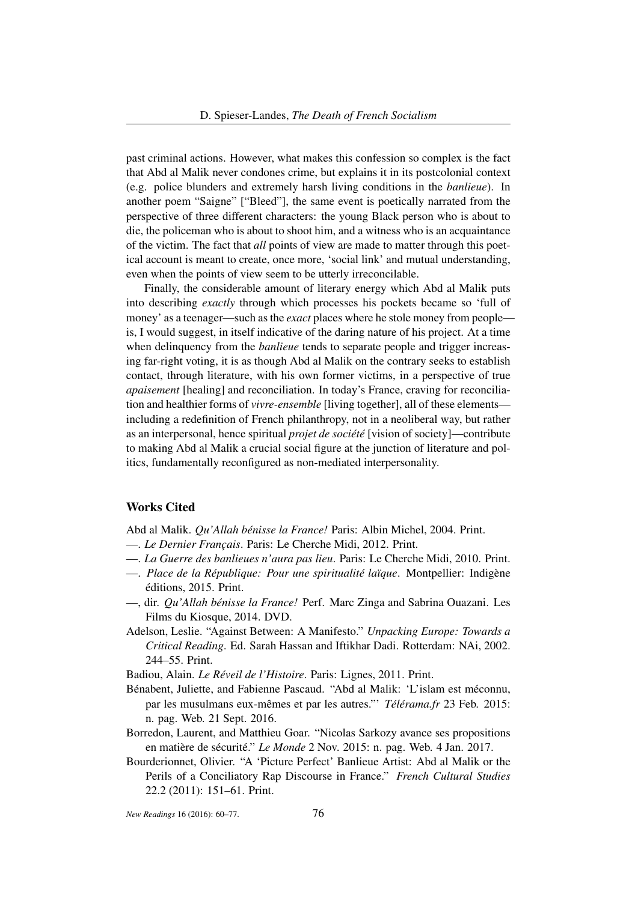past criminal actions. However, what makes this confession so complex is the fact that Abd al Malik never condones crime, but explains it in its postcolonial context (e.g. police blunders and extremely harsh living conditions in the *banlieue*). In another poem "Saigne" ["Bleed"], the same event is poetically narrated from the perspective of three different characters: the young Black person who is about to die, the policeman who is about to shoot him, and a witness who is an acquaintance of the victim. The fact that *all* points of view are made to matter through this poetical account is meant to create, once more, 'social link' and mutual understanding, even when the points of view seem to be utterly irreconcilable.

Finally, the considerable amount of literary energy which Abd al Malik puts into describing *exactly* through which processes his pockets became so 'full of money' as a teenager—such as the *exact* places where he stole money from people is, I would suggest, in itself indicative of the daring nature of his project. At a time when delinquency from the *banlieue* tends to separate people and trigger increasing far-right voting, it is as though Abd al Malik on the contrary seeks to establish contact, through literature, with his own former victims, in a perspective of true *apaisement* [healing] and reconciliation. In today's France, craving for reconciliation and healthier forms of *vivre-ensemble* [living together], all of these elements including a redefinition of French philanthropy, not in a neoliberal way, but rather as an interpersonal, hence spiritual *projet de société* [vision of society]—contribute to making Abd al Malik a crucial social figure at the junction of literature and politics, fundamentally reconfigured as non-mediated interpersonality.

### Works Cited

Abd al Malik. *Qu'Allah bénisse la France!* Paris: Albin Michel, 2004. Print.

- —. *Le Dernier Français*. Paris: Le Cherche Midi, 2012. Print.
- —. *La Guerre des banlieues n'aura pas lieu*. Paris: Le Cherche Midi, 2010. Print.
- —. *Place de la République: Pour une spiritualité laïque*. Montpellier: Indigène éditions, 2015. Print.
- —, dir. *Qu'Allah bénisse la France!* Perf. Marc Zinga and Sabrina Ouazani. Les Films du Kiosque, 2014. DVD.
- Adelson, Leslie. "Against Between: A Manifesto." *Unpacking Europe: Towards a Critical Reading*. Ed. Sarah Hassan and Iftikhar Dadi. Rotterdam: NAi, 2002. 244–55. Print.

Badiou, Alain. *Le Réveil de l'Histoire*. Paris: Lignes, 2011. Print.

- Bénabent, Juliette, and Fabienne Pascaud. "Abd al Malik: 'L'islam est méconnu, par les musulmans eux-mêmes et par les autres."' *Télérama.fr* 23 Feb. 2015: n. pag. Web. 21 Sept. 2016.
- Borredon, Laurent, and Matthieu Goar. "Nicolas Sarkozy avance ses propositions en matière de sécurité." *Le Monde* 2 Nov. 2015: n. pag. Web. 4 Jan. 2017.
- Bourderionnet, Olivier. "A 'Picture Perfect' Banlieue Artist: Abd al Malik or the Perils of a Conciliatory Rap Discourse in France." *French Cultural Studies* 22.2 (2011): 151–61. Print.